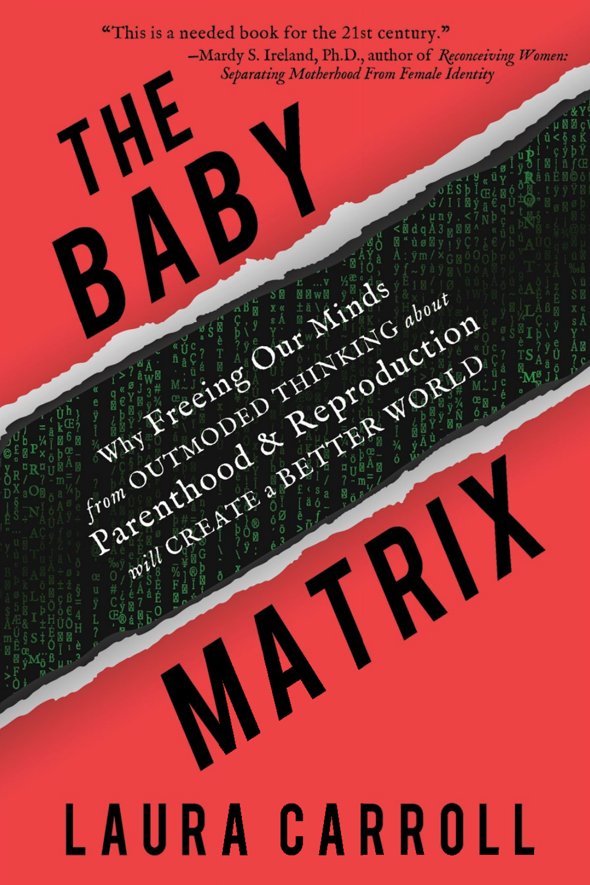"This is a needed book for the 21st century." -Mardy S. Ireland, Ph.D., author of Reconceiving Women: Separating Motherhood From Female Identity

# LAURA CARROLL

Parenthood & Philippe & Month

Rate of the conservation for the change of the change of the change of the change of the change of the change of the change of the change of the change of the change of the change of the change of the change of the change

REAGAN CREATE SERVER & SPINE

WASHER OOR REPAIR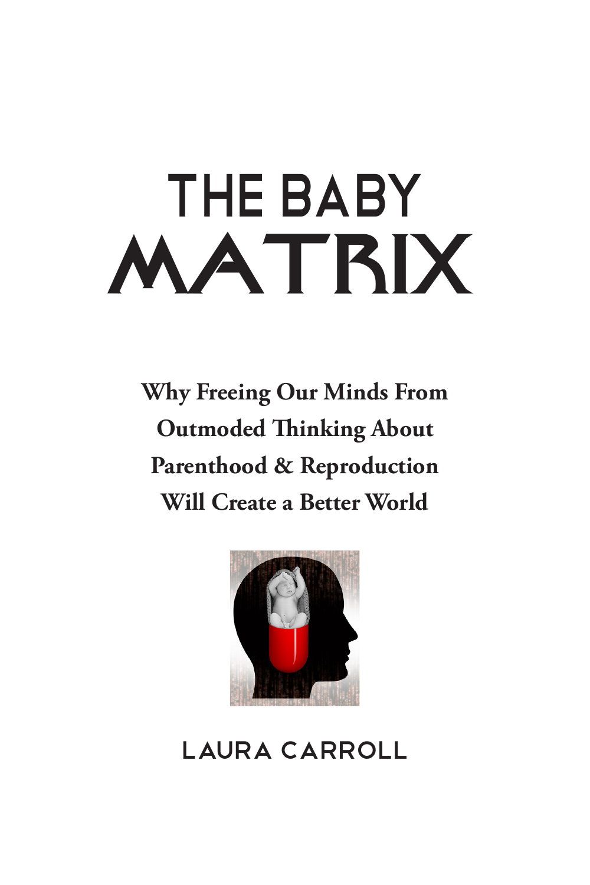# The Baby **MATRIX**

**Why Freeing Our Minds From Outmoded Thinking About Parenthood & Reproduction Will Create a Better World**



Laura Carroll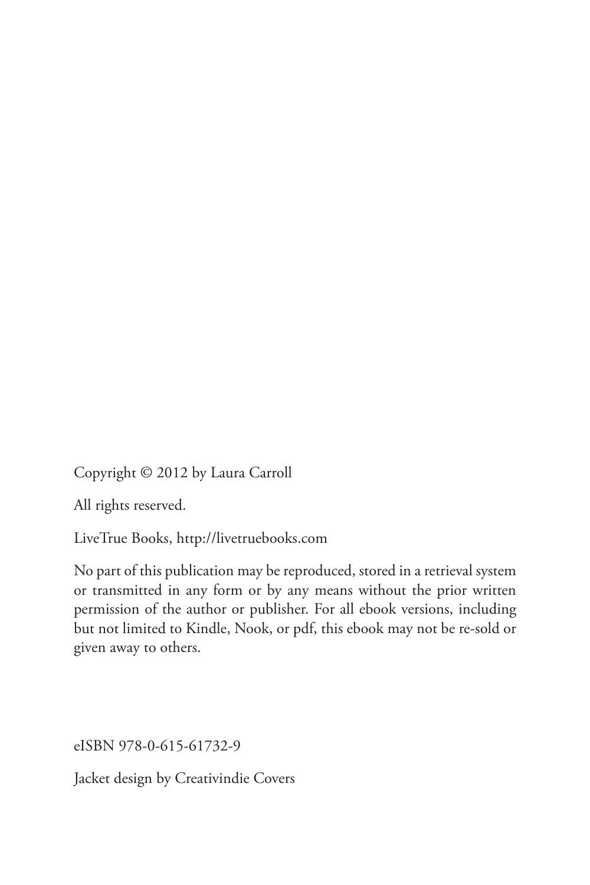Copyright © 2012 by Laura Carroll

All rights reserved.

LiveTrue Books, http://livetruebooks.com

No part of this publication may be reproduced, stored in a retrieval system or transmitted in any form or by any means without the prior written permission of the author or publisher. For all ebook versions, including but not limited to Kindle, Nook, or pdf, this ebook may not be re-sold or given away to others.

eISBN 978-0-615-61732-9

Jacket design by Creativindie Covers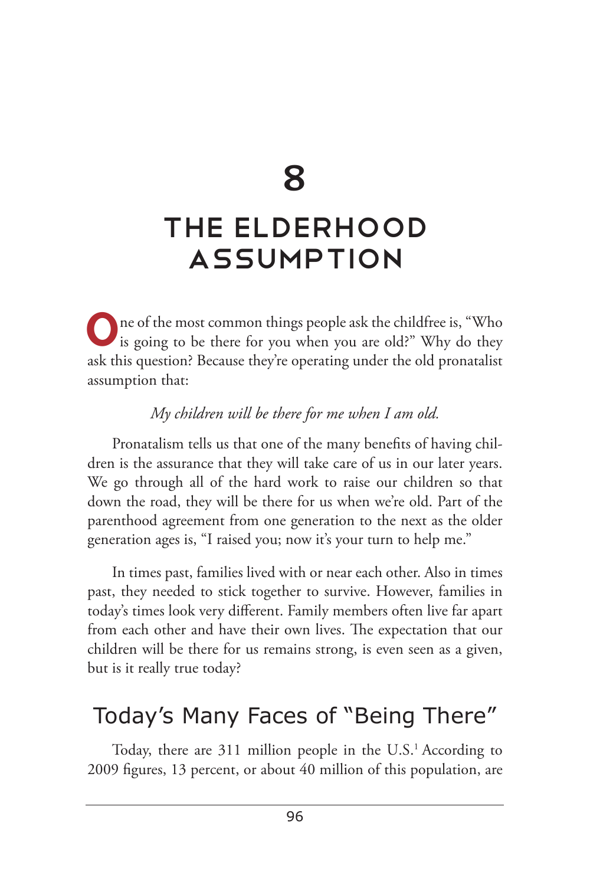8

## The Elderhood Assumption

One of the most common things people ask the childfree is, "Who is going to be there for you when you are old?" Why do they ask this question? Because they're operating under the old pronatalist assumption that:

#### *My children will be there for me when I am old.*

Pronatalism tells us that one of the many benefits of having children is the assurance that they will take care of us in our later years. We go through all of the hard work to raise our children so that down the road, they will be there for us when we're old. Part of the parenthood agreement from one generation to the next as the older generation ages is, "I raised you; now it's your turn to help me."

In times past, families lived with or near each other. Also in times past, they needed to stick together to survive. However, families in today's times look very different. Family members often live far apart from each other and have their own lives. The expectation that our children will be there for us remains strong, is even seen as a given, but is it really true today?

### Today's Many Faces of "Being There"

Today, there are 311 million people in the U.S.<sup>1</sup> According to 2009 figures, 13 percent, or about 40 million of this population, are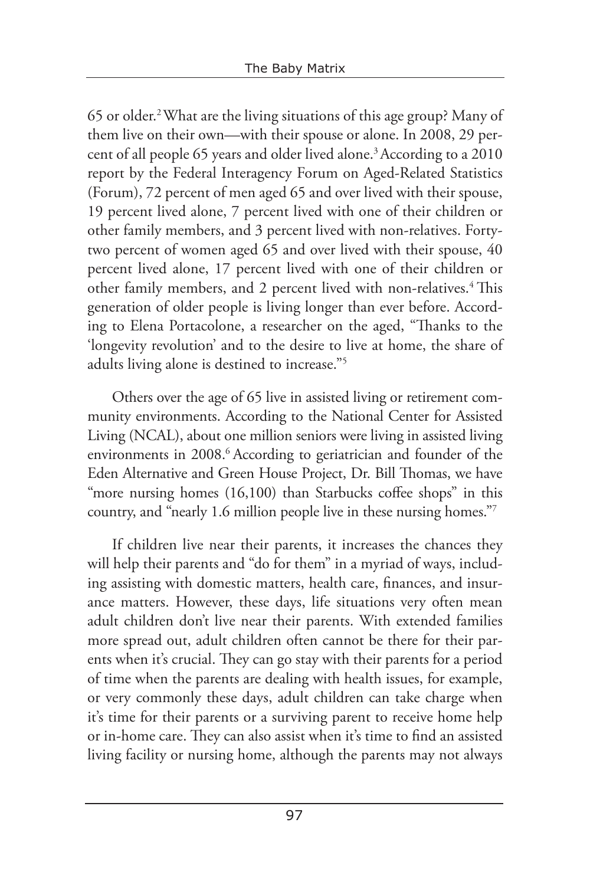65 or older.2 What are the living situations of this age group? Many of them live on their own—with their spouse or alone. In 2008, 29 percent of all people 65 years and older lived alone.3 According to a 2010 report by the Federal Interagency Forum on Aged-Related Statistics (Forum), 72 percent of men aged 65 and over lived with their spouse, 19 percent lived alone, 7 percent lived with one of their children or other family members, and 3 percent lived with non-relatives. Fortytwo percent of women aged 65 and over lived with their spouse, 40 percent lived alone, 17 percent lived with one of their children or other family members, and 2 percent lived with non-relatives.<sup>4</sup> This generation of older people is living longer than ever before. According to Elena Portacolone, a researcher on the aged, "Thanks to the 'longevity revolution' and to the desire to live at home, the share of adults living alone is destined to increase."5

Others over the age of 65 live in assisted living or retirement community environments. According to the National Center for Assisted Living (NCAL), about one million seniors were living in assisted living environments in 2008.<sup>6</sup> According to geriatrician and founder of the Eden Alternative and Green House Project, Dr. Bill Thomas, we have "more nursing homes (16,100) than Starbucks coffee shops" in this country, and "nearly 1.6 million people live in these nursing homes."7

If children live near their parents, it increases the chances they will help their parents and "do for them" in a myriad of ways, including assisting with domestic matters, health care, finances, and insurance matters. However, these days, life situations very often mean adult children don't live near their parents. With extended families more spread out, adult children often cannot be there for their parents when it's crucial. They can go stay with their parents for a period of time when the parents are dealing with health issues, for example, or very commonly these days, adult children can take charge when it's time for their parents or a surviving parent to receive home help or in-home care. They can also assist when it's time to find an assisted living facility or nursing home, although the parents may not always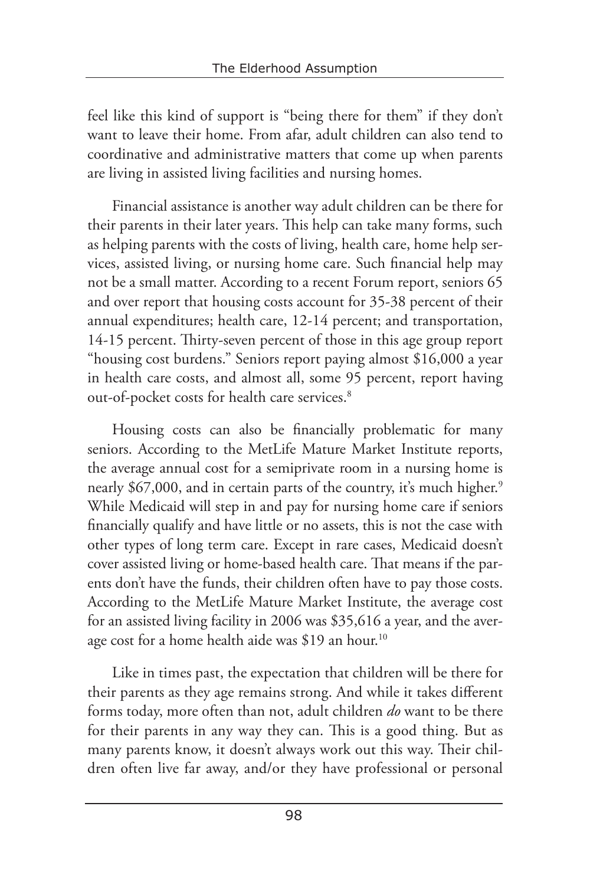feel like this kind of support is "being there for them" if they don't want to leave their home. From afar, adult children can also tend to coordinative and administrative matters that come up when parents are living in assisted living facilities and nursing homes.

Financial assistance is another way adult children can be there for their parents in their later years. This help can take many forms, such as helping parents with the costs of living, health care, home help services, assisted living, or nursing home care. Such financial help may not be a small matter. According to a recent Forum report, seniors 65 and over report that housing costs account for 35-38 percent of their annual expenditures; health care, 12-14 percent; and transportation, 14-15 percent. Thirty-seven percent of those in this age group report "housing cost burdens." Seniors report paying almost \$16,000 a year in health care costs, and almost all, some 95 percent, report having out-of-pocket costs for health care services.<sup>8</sup>

Housing costs can also be financially problematic for many seniors. According to the MetLife Mature Market Institute reports, the average annual cost for a semiprivate room in a nursing home is nearly \$67,000, and in certain parts of the country, it's much higher.<sup>9</sup> While Medicaid will step in and pay for nursing home care if seniors financially qualify and have little or no assets, this is not the case with other types of long term care. Except in rare cases, Medicaid doesn't cover assisted living or home-based health care. That means if the parents don't have the funds, their children often have to pay those costs. According to the MetLife Mature Market Institute, the average cost for an assisted living facility in 2006 was \$35,616 a year, and the average cost for a home health aide was \$19 an hour.<sup>10</sup>

Like in times past, the expectation that children will be there for their parents as they age remains strong. And while it takes different forms today, more often than not, adult children *do* want to be there for their parents in any way they can. This is a good thing. But as many parents know, it doesn't always work out this way. Their children often live far away, and/or they have professional or personal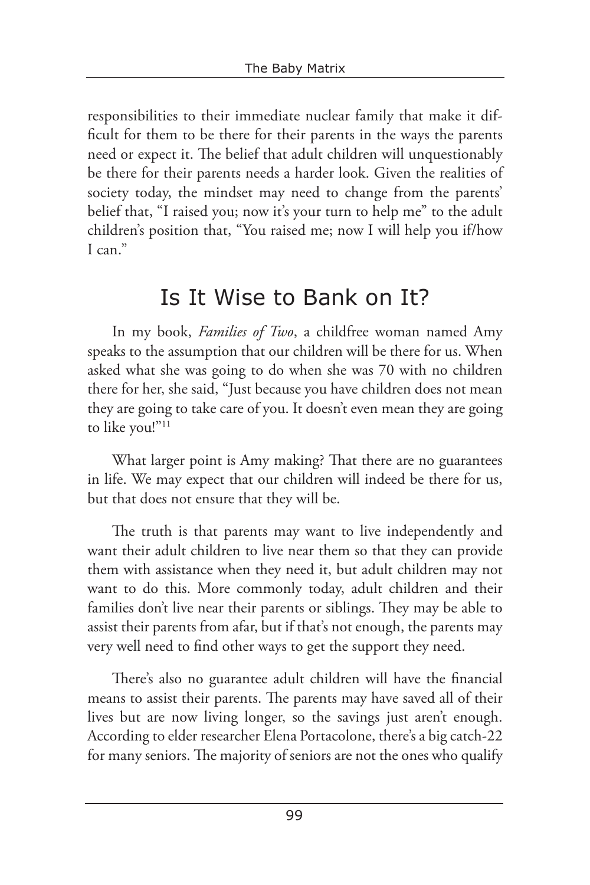responsibilities to their immediate nuclear family that make it difficult for them to be there for their parents in the ways the parents need or expect it. The belief that adult children will unquestionably be there for their parents needs a harder look. Given the realities of society today, the mindset may need to change from the parents' belief that, "I raised you; now it's your turn to help me" to the adult children's position that, "You raised me; now I will help you if/how  $I$  can<sup>"</sup>

### Is It Wise to Bank on It?

In my book, *Families of Two*, a childfree woman named Amy speaks to the assumption that our children will be there for us. When asked what she was going to do when she was 70 with no children there for her, she said, "Just because you have children does not mean they are going to take care of you. It doesn't even mean they are going to like you!"<sup>11</sup>

What larger point is Amy making? That there are no guarantees in life. We may expect that our children will indeed be there for us, but that does not ensure that they will be.

The truth is that parents may want to live independently and want their adult children to live near them so that they can provide them with assistance when they need it, but adult children may not want to do this. More commonly today, adult children and their families don't live near their parents or siblings. They may be able to assist their parents from afar, but if that's not enough, the parents may very well need to find other ways to get the support they need.

There's also no guarantee adult children will have the financial means to assist their parents. The parents may have saved all of their lives but are now living longer, so the savings just aren't enough. According to elder researcher Elena Portacolone, there's a big catch-22 for many seniors. The majority of seniors are not the ones who qualify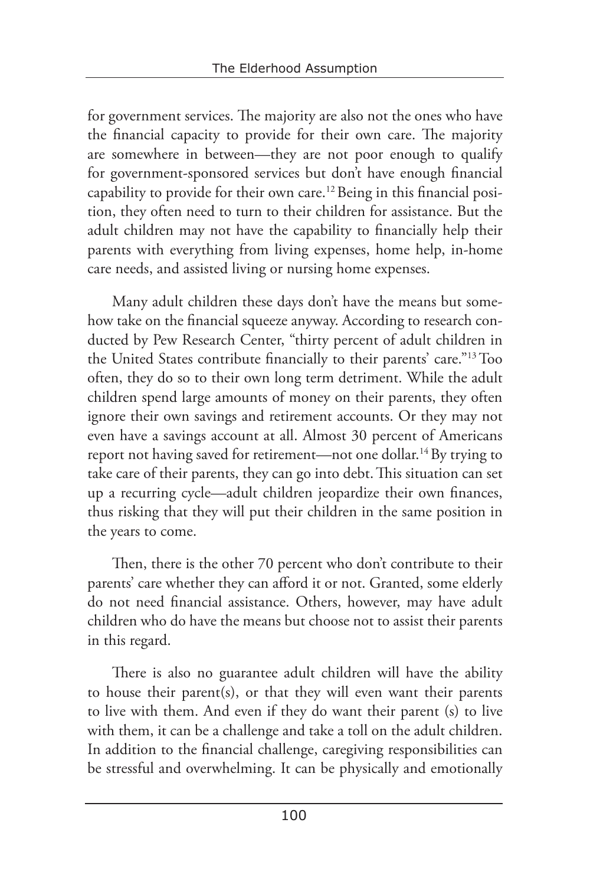for government services. The majority are also not the ones who have the financial capacity to provide for their own care. The majority are somewhere in between—they are not poor enough to qualify for government-sponsored services but don't have enough financial capability to provide for their own care.12 Being in this financial position, they often need to turn to their children for assistance. But the adult children may not have the capability to financially help their parents with everything from living expenses, home help, in-home care needs, and assisted living or nursing home expenses.

Many adult children these days don't have the means but somehow take on the financial squeeze anyway. According to research conducted by Pew Research Center, "thirty percent of adult children in the United States contribute financially to their parents' care."13 Too often, they do so to their own long term detriment. While the adult children spend large amounts of money on their parents, they often ignore their own savings and retirement accounts. Or they may not even have a savings account at all. Almost 30 percent of Americans report not having saved for retirement—not one dollar.14 By trying to take care of their parents, they can go into debt.This situation can set up a recurring cycle—adult children jeopardize their own finances, thus risking that they will put their children in the same position in the years to come.

Then, there is the other 70 percent who don't contribute to their parents' care whether they can afford it or not. Granted, some elderly do not need financial assistance. Others, however, may have adult children who do have the means but choose not to assist their parents in this regard.

There is also no guarantee adult children will have the ability to house their parent(s), or that they will even want their parents to live with them. And even if they do want their parent (s) to live with them, it can be a challenge and take a toll on the adult children. In addition to the financial challenge, caregiving responsibilities can be stressful and overwhelming. It can be physically and emotionally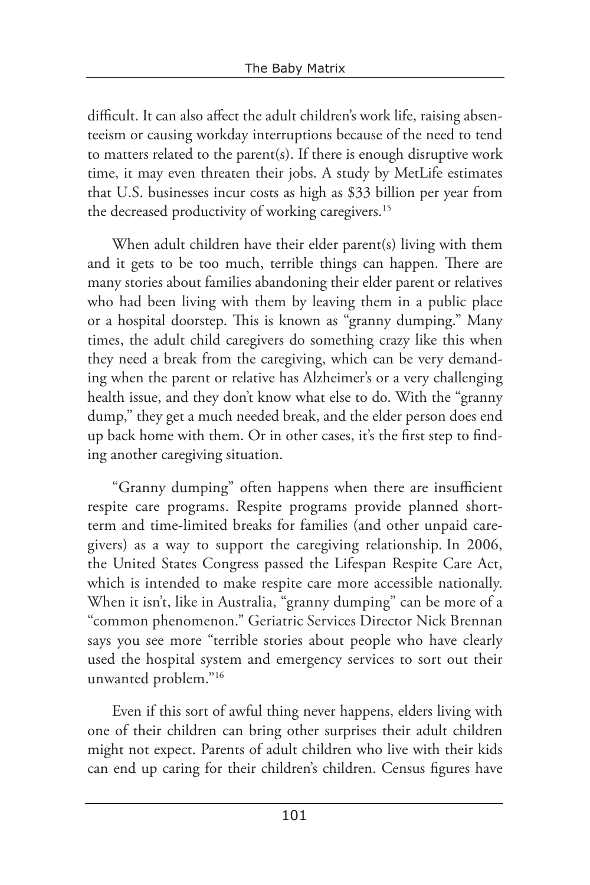difficult. It can also affect the adult children's work life, raising absenteeism or causing workday interruptions because of the need to tend to matters related to the parent(s). If there is enough disruptive work time, it may even threaten their jobs. A study by MetLife estimates that U.S. businesses incur costs as high as \$33 billion per year from the decreased productivity of working caregivers.<sup>15</sup>

When adult children have their elder parent(s) living with them and it gets to be too much, terrible things can happen. There are many stories about families abandoning their elder parent or relatives who had been living with them by leaving them in a public place or a hospital doorstep. This is known as "granny dumping." Many times, the adult child caregivers do something crazy like this when they need a break from the caregiving, which can be very demanding when the parent or relative has Alzheimer's or a very challenging health issue, and they don't know what else to do. With the "granny dump," they get a much needed break, and the elder person does end up back home with them. Or in other cases, it's the first step to finding another caregiving situation.

"Granny dumping" often happens when there are insufficient respite care programs. Respite programs provide planned shortterm and time-limited breaks for families (and other unpaid caregivers) as a way to support the caregiving relationship. In 2006, the United States Congress passed the Lifespan Respite Care Act, which is intended to make respite care more accessible nationally. When it isn't, like in Australia, "granny dumping" can be more of a "common phenomenon." Geriatric Services Director Nick Brennan says you see more "terrible stories about people who have clearly used the hospital system and emergency services to sort out their unwanted problem."16

Even if this sort of awful thing never happens, elders living with one of their children can bring other surprises their adult children might not expect. Parents of adult children who live with their kids can end up caring for their children's children. Census figures have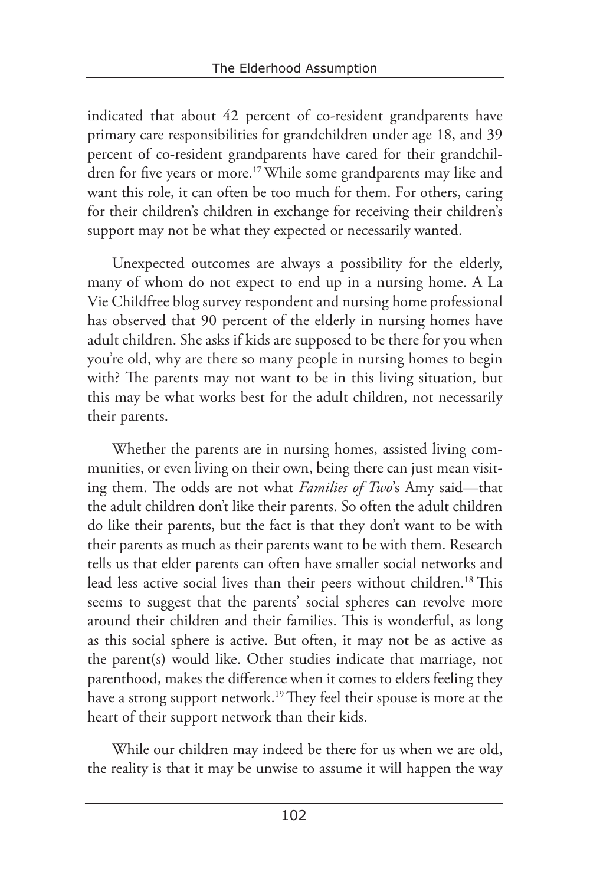indicated that about 42 percent of co-resident grandparents have primary care responsibilities for grandchildren under age 18, and 39 percent of co-resident grandparents have cared for their grandchildren for five years or more.<sup>17</sup> While some grandparents may like and want this role, it can often be too much for them. For others, caring for their children's children in exchange for receiving their children's support may not be what they expected or necessarily wanted.

Unexpected outcomes are always a possibility for the elderly, many of whom do not expect to end up in a nursing home. A La Vie Childfree blog survey respondent and nursing home professional has observed that 90 percent of the elderly in nursing homes have adult children. She asks if kids are supposed to be there for you when you're old, why are there so many people in nursing homes to begin with? The parents may not want to be in this living situation, but this may be what works best for the adult children, not necessarily their parents.

Whether the parents are in nursing homes, assisted living communities, or even living on their own, being there can just mean visiting them. The odds are not what *Families of Two*'s Amy said—that the adult children don't like their parents. So often the adult children do like their parents, but the fact is that they don't want to be with their parents as much as their parents want to be with them. Research tells us that elder parents can often have smaller social networks and lead less active social lives than their peers without children.<sup>18</sup> This seems to suggest that the parents' social spheres can revolve more around their children and their families. This is wonderful, as long as this social sphere is active. But often, it may not be as active as the parent(s) would like. Other studies indicate that marriage, not parenthood, makes the difference when it comes to elders feeling they have a strong support network.<sup>19</sup> They feel their spouse is more at the heart of their support network than their kids.

While our children may indeed be there for us when we are old, the reality is that it may be unwise to assume it will happen the way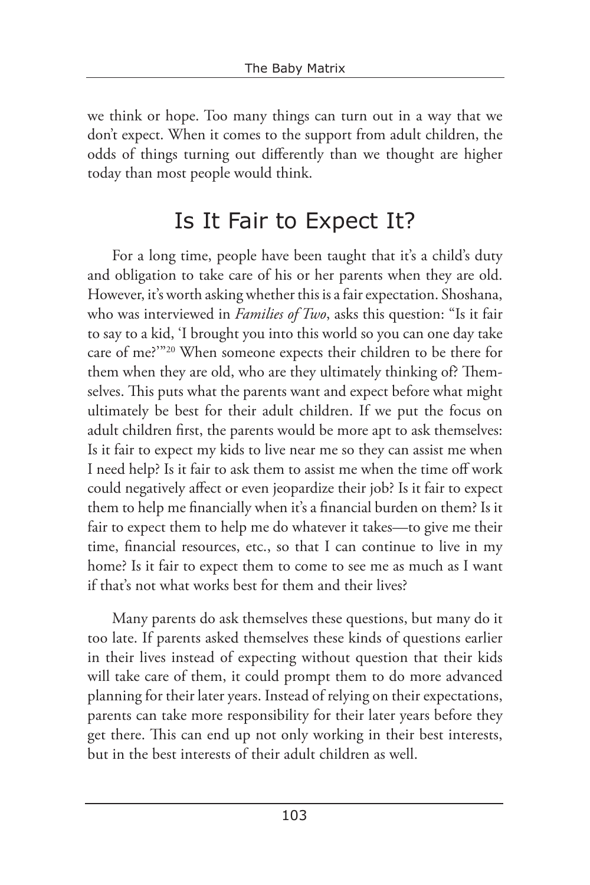we think or hope. Too many things can turn out in a way that we don't expect. When it comes to the support from adult children, the odds of things turning out differently than we thought are higher today than most people would think.

### Is It Fair to Expect It?

For a long time, people have been taught that it's a child's duty and obligation to take care of his or her parents when they are old. However, it's worth asking whether this is a fair expectation. Shoshana, who was interviewed in *Families of Two*, asks this question: "Is it fair to say to a kid, 'I brought you into this world so you can one day take care of me?'"20 When someone expects their children to be there for them when they are old, who are they ultimately thinking of? Themselves. This puts what the parents want and expect before what might ultimately be best for their adult children. If we put the focus on adult children first, the parents would be more apt to ask themselves: Is it fair to expect my kids to live near me so they can assist me when I need help? Is it fair to ask them to assist me when the time off work could negatively affect or even jeopardize their job? Is it fair to expect them to help me financially when it's a financial burden on them? Is it fair to expect them to help me do whatever it takes—to give me their time, financial resources, etc., so that I can continue to live in my home? Is it fair to expect them to come to see me as much as I want if that's not what works best for them and their lives?

Many parents do ask themselves these questions, but many do it too late. If parents asked themselves these kinds of questions earlier in their lives instead of expecting without question that their kids will take care of them, it could prompt them to do more advanced planning for their later years. Instead of relying on their expectations, parents can take more responsibility for their later years before they get there. This can end up not only working in their best interests, but in the best interests of their adult children as well.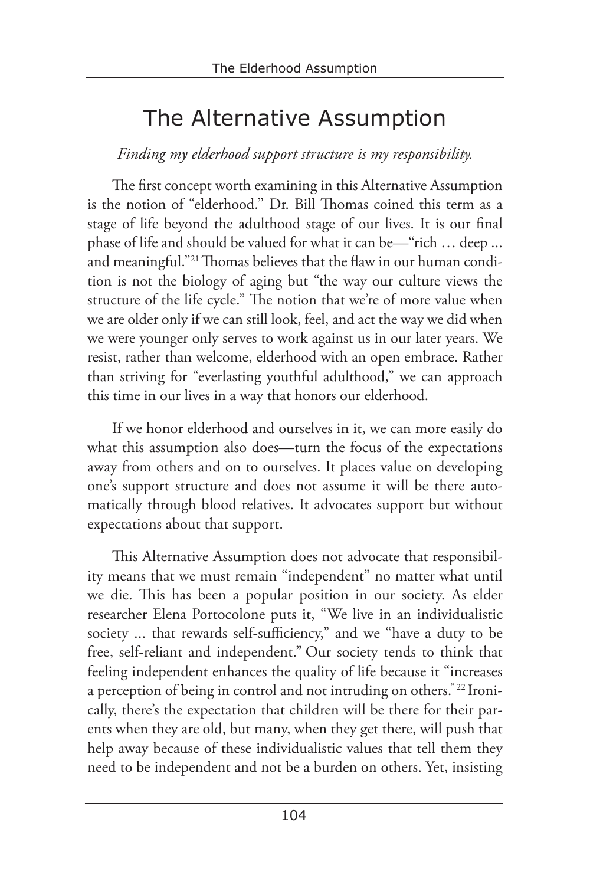## The Alternative Assumption

#### *Finding my elderhood support structure is my responsibility.*

The first concept worth examining in this Alternative Assumption is the notion of "elderhood." Dr. Bill Thomas coined this term as a stage of life beyond the adulthood stage of our lives. It is our final phase of life and should be valued for what it can be—"rich … deep ... and meaningful."21 Thomas believes that the flaw in our human condition is not the biology of aging but "the way our culture views the structure of the life cycle." The notion that we're of more value when we are older only if we can still look, feel, and act the way we did when we were younger only serves to work against us in our later years. We resist, rather than welcome, elderhood with an open embrace. Rather than striving for "everlasting youthful adulthood," we can approach this time in our lives in a way that honors our elderhood.

If we honor elderhood and ourselves in it, we can more easily do what this assumption also does—turn the focus of the expectations away from others and on to ourselves. It places value on developing one's support structure and does not assume it will be there automatically through blood relatives. It advocates support but without expectations about that support.

This Alternative Assumption does not advocate that responsibility means that we must remain "independent" no matter what until we die. This has been a popular position in our society. As elder researcher Elena Portocolone puts it, "We live in an individualistic society ... that rewards self-sufficiency," and we "have a duty to be free, self-reliant and independent." Our society tends to think that feeling independent enhances the quality of life because it "increases a perception of being in control and not intruding on others." 22 Ironically, there's the expectation that children will be there for their parents when they are old, but many, when they get there, will push that help away because of these individualistic values that tell them they need to be independent and not be a burden on others. Yet, insisting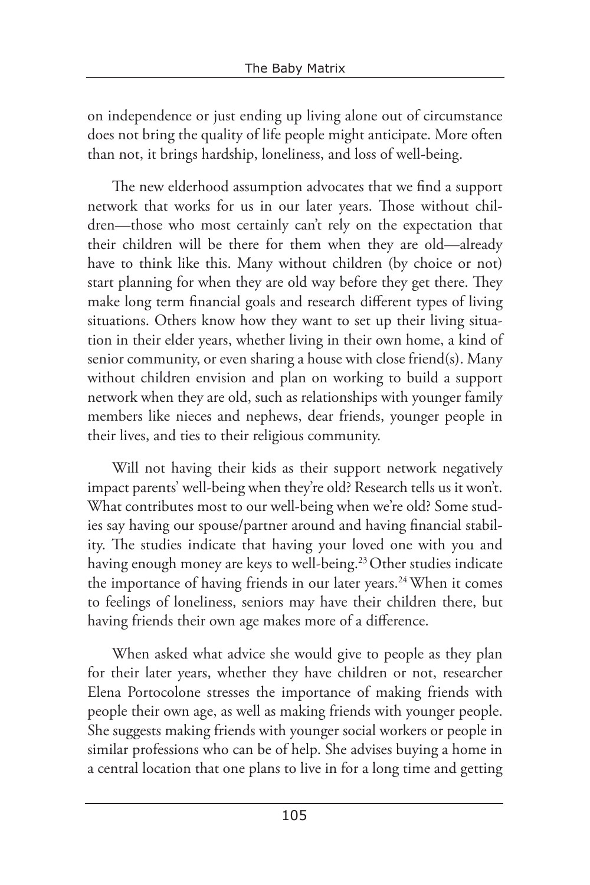on independence or just ending up living alone out of circumstance does not bring the quality of life people might anticipate. More often than not, it brings hardship, loneliness, and loss of well-being.

The new elderhood assumption advocates that we find a support network that works for us in our later years. Those without children—those who most certainly can't rely on the expectation that their children will be there for them when they are old—already have to think like this. Many without children (by choice or not) start planning for when they are old way before they get there. They make long term financial goals and research different types of living situations. Others know how they want to set up their living situation in their elder years, whether living in their own home, a kind of senior community, or even sharing a house with close friend(s). Many without children envision and plan on working to build a support network when they are old, such as relationships with younger family members like nieces and nephews, dear friends, younger people in their lives, and ties to their religious community.

Will not having their kids as their support network negatively impact parents' well-being when they're old? Research tells us it won't. What contributes most to our well-being when we're old? Some studies say having our spouse/partner around and having financial stability. The studies indicate that having your loved one with you and having enough money are keys to well-being.<sup>23</sup> Other studies indicate the importance of having friends in our later years.<sup>24</sup> When it comes to feelings of loneliness, seniors may have their children there, but having friends their own age makes more of a difference.

When asked what advice she would give to people as they plan for their later years, whether they have children or not, researcher Elena Portocolone stresses the importance of making friends with people their own age, as well as making friends with younger people. She suggests making friends with younger social workers or people in similar professions who can be of help. She advises buying a home in a central location that one plans to live in for a long time and getting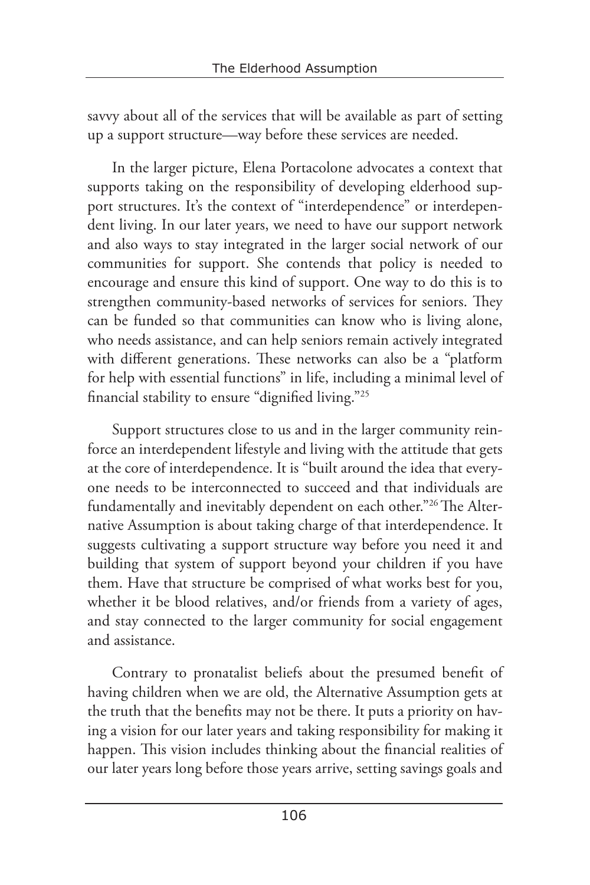savvy about all of the services that will be available as part of setting up a support structure—way before these services are needed.

In the larger picture, Elena Portacolone advocates a context that supports taking on the responsibility of developing elderhood support structures. It's the context of "interdependence" or interdependent living. In our later years, we need to have our support network and also ways to stay integrated in the larger social network of our communities for support. She contends that policy is needed to encourage and ensure this kind of support. One way to do this is to strengthen community-based networks of services for seniors. They can be funded so that communities can know who is living alone, who needs assistance, and can help seniors remain actively integrated with different generations. These networks can also be a "platform for help with essential functions" in life, including a minimal level of financial stability to ensure "dignified living."25

Support structures close to us and in the larger community reinforce an interdependent lifestyle and living with the attitude that gets at the core of interdependence. It is "built around the idea that everyone needs to be interconnected to succeed and that individuals are fundamentally and inevitably dependent on each other."26 The Alternative Assumption is about taking charge of that interdependence. It suggests cultivating a support structure way before you need it and building that system of support beyond your children if you have them. Have that structure be comprised of what works best for you, whether it be blood relatives, and/or friends from a variety of ages, and stay connected to the larger community for social engagement and assistance.

Contrary to pronatalist beliefs about the presumed benefit of having children when we are old, the Alternative Assumption gets at the truth that the benefits may not be there. It puts a priority on having a vision for our later years and taking responsibility for making it happen. This vision includes thinking about the financial realities of our later years long before those years arrive, setting savings goals and